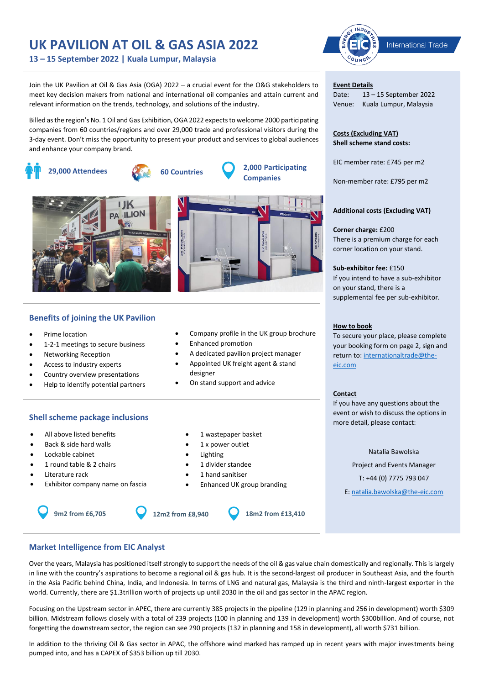# **UK PAVILION AT OIL & GAS ASIA 2022**

**13 – 15 September 2022 | Kuala Lumpur, Malaysia**

Join the UK Pavilion at Oil & Gas Asia (OGA) 2022 – a crucial event for the O&G stakeholders to meet key decision makers from national and international oil companies and attain current and relevant information on the trends, technology, and solutions of the industry.

Billed as the region's No. 1 Oil and Gas Exhibition, OGA 2022 expects to welcome 2000 participating companies from 60 countries/regions and over 29,000 trade and professional visitors during the 3-day event. Don't miss the opportunity to present your product and services to global audiences and enhance your company brand.





## **Benefits of joining the UK Pavilion**

- Prime location
- 1-2-1 meetings to secure business
- Networking Reception
- Access to industry experts
- Country overview presentations
- Help to identify potential partners

### **Shell scheme package inclusions**

- All above listed benefits
- Back & side hard walls
- Lockable cabinet
- 1 round table & 2 chairs
- Literature rack
- Exhibitor company name on fascia



- 1 x power outlet
- **Lighting**
- 1 divider standee
- 1 hand sanitiser
- Enhanced UK group branding



**IND** International Trade

### **Event Details**

Date: 13 – 15 September 2022 Venue: Kuala Lumpur, Malaysia

**Costs (Excluding VAT) Shell scheme stand costs:**

EIC member rate: £745 per m2

Non-member rate: £795 per m2

### **Additional costs (Excluding VAT)**

**Corner charge:** £200 There is a premium charge for each corner location on your stand.

### **Sub-exhibitor fee:** £150

If you intend to have a sub-exhibitor on your stand, there is a supplemental fee per sub-exhibitor.

### **How to book**

To secure your place, please complete your booking form on page 2, sign and return to: internationaltrade@theeic.com

### **Contact**

If you have any questions about the event or wish to discuss the options in more detail, please contact:

#### Natalia Bawolska

Project and Events Manager T: +44 (0) 7775 793 047

E: natalia.bawolska@the-eic.com

**Market Intelligence from EIC Analyst** 

Over the years, Malaysia has positioned itself strongly to support the needs of the oil & gas value chain domestically and regionally. This is largely in line with the country's aspirations to become a regional oil & gas hub. It is the second-largest oil producer in Southeast Asia, and the fourth in the Asia Pacific behind China, India, and Indonesia. In terms of LNG and natural gas, Malaysia is the third and ninth-largest exporter in the world. Currently, there are \$1.3trillion worth of projects up until 2030 in the oil and gas sector in the APAC region.

Focusing on the Upstream sector in APEC, there are currently 385 projects in the pipeline (129 in planning and 256 in development) worth \$309 billion. Midstream follows closely with a total of 239 projects (100 in planning and 139 in development) worth \$300billion. And of course, not forgetting the downstream sector, the region can see 290 projects (132 in planning and 158 in development), all worth \$731 billion.

In addition to the thriving Oil & Gas sector in APAC, the offshore wind marked has ramped up in recent years with major investments being pumped into, and has a CAPEX of \$353 billion up till 2030.

- -
- Company profile in the UK group brochure
	- Enhanced promotion
	- A dedicated pavilion project manager • Appointed UK freight agent & stand
	- designer
	- On stand support and advice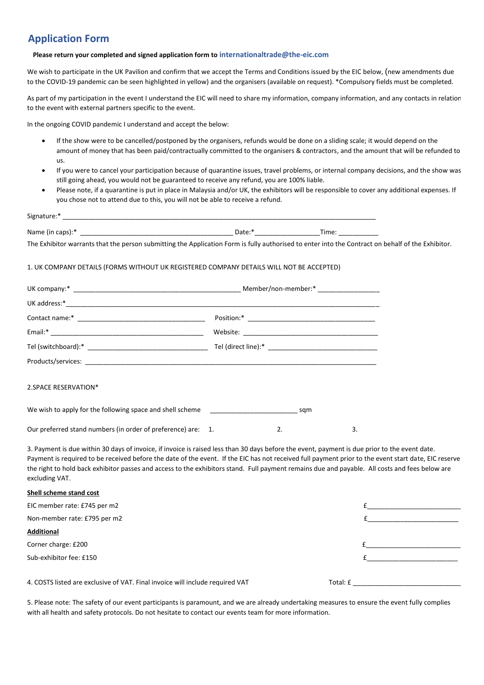# **Application Form**

### **Please return your completed and signed application form to internationaltrade@the-eic.com**

We wish to participate in the UK Pavilion and confirm that we accept the Terms and Conditions issued by the EIC below, (new amendments due to the COVID-19 pandemic can be seen highlighted in yellow) and the organisers (available on request). \*Compulsory fields must be completed.

As part of my participation in the event I understand the EIC will need to share my information, company information, and any contacts in relation to the event with external partners specific to the event.

In the ongoing COVID pandemic I understand and accept the below:

- If the show were to be cancelled/postponed by the organisers, refunds would be done on a sliding scale; it would depend on the amount of money that has been paid/contractually committed to the organisers & contractors, and the amount that will be refunded to us.
- If you were to cancel your participation because of quarantine issues, travel problems, or internal company decisions, and the show was still going ahead, you would not be guaranteed to receive any refund, you are 100% liable.
- Please note, if a quarantine is put in place in Malaysia and/or UK, the exhibitors will be responsible to cover any additional expenses. If you chose not to attend due to this, you will not be able to receive a refund.

| Signa<br>i idlui e.          |                    |     |  |  |  |  |  |
|------------------------------|--------------------|-----|--|--|--|--|--|
|                              |                    |     |  |  |  |  |  |
| Name<br>caps).<br>.<br>≧ (in | Date: <sup>*</sup> | ïme |  |  |  |  |  |

The Exhibitor warrants that the person submitting the Application Form is fully authorised to enter into the Contract on behalf of the Exhibitor.

### 1. UK COMPANY DETAILS (FORMS WITHOUT UK REGISTERED COMPANY DETAILS WILL NOT BE ACCEPTED)

| 2.SPACE RESERVATION*                                                                                                                                             |  |    |    |  |
|------------------------------------------------------------------------------------------------------------------------------------------------------------------|--|----|----|--|
| We wish to apply for the following space and shell scheme states are seen to same sqm                                                                            |  |    |    |  |
| Our preferred stand numbers (in order of preference) are: 1.                                                                                                     |  | 2. | 3. |  |
| 3. Payment is due within 30 days of invoice, if invoice is raised less than 30 days before the event, payment is due prior to the event date.                    |  |    |    |  |
| Payment is required to be received before the date of the event. If the EIC has not received full payment prior to the event start date, EIC reserve             |  |    |    |  |
| the right to hold back exhibitor passes and access to the exhibitors stand. Full payment remains due and payable. All costs and fees below are<br>excluding VAT. |  |    |    |  |

### **Shell scheme stand cost**

| EIC member rate: £745 per m2                                                  |          |
|-------------------------------------------------------------------------------|----------|
| Non-member rate: £795 per m2                                                  |          |
| <b>Additional</b>                                                             |          |
| Corner charge: £200                                                           |          |
| Sub-exhibitor fee: £150                                                       |          |
|                                                                               |          |
| 4. COSTS listed are exclusive of VAT. Final invoice will include required VAT | Total: £ |

5. Please note: The safety of our event participants is paramount, and we are already undertaking measures to ensure the event fully complies with all health and safety protocols. Do not hesitate to contact our events team for more information.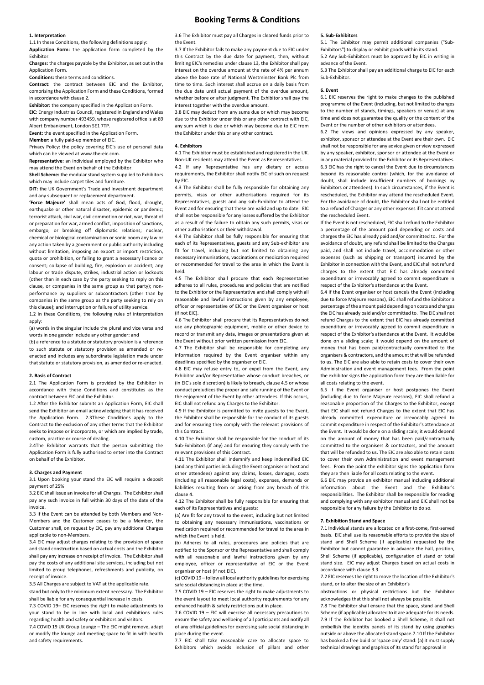### **Booking Terms & Conditions**

#### **1. Interpretation**

1.1 In these Conditions, the following definitions apply: **Application Form:** the application form completed by the Exhibitor.

**Charges:** the charges payable by the Exhibitor, as set out in the Application Form.

**Conditions:** these terms and conditions.

**Contract:** the contract between EIC and the Exhibitor, comprising the Application Form and these Conditions, formed in accordance with clause 2.

**Exhibitor:** the company specified in the Application Form.

**EIC**: Energy Industries Council, registered in England and Wales with company number 493459, whose registered office is at 89 Albert Embankment, London SE1 7TP.

**Event:** the event specified in the Application Form.

**Member:** a fully paid-up member of EIC.

Privacy Policy: the policy covering EIC's use of personal data which can be viewed at www.the-eic.com.

**Representative:** an individual employed by the Exhibitor who may attend the Event on behalf of the Exhibitor.

**Shell Scheme:** the modular stand system supplied to Exhibitors which may include carpet tiles and furniture.

**DIT:** the UK Government's Trade and Investment department and any subsequent or replacement department.

**'Force Majeure'** shall mean acts of God, flood, drought, earthquake or other natural disaster, epidemic or pandemic; terrorist attack, civil war, civil commotion or riot, war, threat of or preparation for war, armed conflict, imposition of sanctions, embargo, or breaking off diplomatic relations; nuclear, chemical or biological contamination or sonic boom any law or any action taken by a government or public authority including without limitation, imposing an export or import restriction, quota or prohibition, or failing to grant a necessary licence or consent; collapse of building, fire, explosion or accident; any labour or trade dispute, strikes, industrial action or lockouts (other than in each case by the party seeking to reply on this clause, or companies in the same group as that party); nonperformance by suppliers or subcontractors (other than by companies in the same group as the party seeking to rely on this clause); and interruption or failure of utility service.

1.2 In these Conditions, the following rules of interpretation apply:

(a) words in the singular include the plural and vice versa and words in one gender include any other gender: and

(b) a reference to a statute or statutory provision is a reference to such statute or statutory provision as amended or reenacted and includes any subordinate legislation made under that statute or statutory provision, as amended or re-enacted.

#### **2. Basis of Contract**

2.1 The Annlication Form is provided by the Exhibitor in accordance with these Conditions and constitutes as the contract between EIC and the Exhibitor.

1.2 After the Exhibitor submits an Application Form, EIC shall send the Exhibitor an email acknowledging that it has received the Application Form. 2.3These Conditions apply to the Contract to the exclusion of any other terms that the Exhibitor seeks to impose or incorporate, or which are implied by trade, custom, practice or course of dealing.

2.4The Exhibitor warrants that the person submitting the Application Form is fully authorised to enter into the Contract on behalf of the Exhibitor.

#### **3. Charges and Payment**

3.1 Upon booking your stand the EIC will require a deposit payment of 25%

3.2 EIC shall issue an invoice for all Charges. The Exhibitor shall pay any such invoice in full within 30 days of the date of the invoice.

3.3 If the Event can be attended by both Members and Non-Members and the Customer ceases to be a Member, the Customer shall, on request by EIC, pay any additional Charges applicable to non-Members.

3.4 EIC may adjust charges relating to the provision of space and stand construction based on actual costs and the Exhibitor shall pay any increase on receipt of invoice. The Exhibitor shall pay the costs of any additional site services, including but not limited to group telephones, refreshments and publicity, on receipt of invoice.

3.5 All Charges are subject to VAT at the applicable rate. stand but only to the minimum extent necessary. The Exhibitor

shall be liable for any consequential increase in costs. 7.3 COVID 19– EIC reserves the right to make adjustments to

your stand to be in line with local and exhibitions rules regarding health and safety or exhibitors and visitors.

7.4 COVID 19 UK Group Lounge – The EIC might remove, adapt or modify the lounge and meeting space to fit in with health and safety requirements.

3.6 The Exhibitor must pay all Charges in cleared funds prior to the Event.

3.7 If the Exhibitor fails to make any payment due to EIC under this Contract by the due date for payment, then, without limiting EIC's remedies under clause 13, the Exhibitor shall pay interest on the overdue amount at the rate of 4% per annum above the base rate of National Westminster Bank Plc from time to time. Such interest shall accrue on a daily basis from the due date until actual payment of the overdue amount, whether before or after judgment. The Exhibitor shall pay the interest together with the overdue amount.

3.8 EIC may deduct from any sums due or which may become due to the Exhibitor under this or any other contract with EIC, any sum which is due or which may become due to EIC from the Exhibitor under this or any other contract.

#### **4. Exhibitors**

4.1 The Exhibitor must be established and registered in the UK. Non-UK residents may attend the Event as Representatives.

4.2 If any Representative has any dietary or access requirements, the Exhibitor shall notify EIC of such on request by EIC.

4.3 The Exhibitor shall be fully responsible for obtaining any permits, visas or other authorisations required for its Representatives, guests and any sub-Exhibitor to attend the Event and for ensuring that these are valid and up to date. EIC shall not be responsible for any losses suffered by the Exhibitor as a result of the failure to obtain any such permits, visas or other authorisations or their withdrawal.

4.4 The Exhibitor shall be fully responsible for ensuring that each of its Representatives, guests and any Sub-exhibitor are fit for travel, including but not limited to obtaining any necessary immunisations, vaccinations or medication required or recommended for travel to the area in which the Event is held.

4.5 The Exhibitor shall procure that each Representative adheres to all rules, procedures and policies that are notified to the Exhibitor or the Representative and shall comply with all reasonable and lawful instructions given by any employee, officer or representative of EIC or the Event organiser or host (if not EIC).

4.6 The Exhibitor shall procure that its Representatives do not use any photographic equipment, mobile or other device to record or transmit any data, images or presentations given at the Event without prior written permission from EIC.

4.7 The Exhibitor shall be responsible for completing any information required by the Event organiser within any deadlines specified by the organiser or EIC.

4.8 EIC may refuse entry to, or expel from the Event, any Exhibitor and/or Representative whose conduct breaches, or (in EIC's sole discretion) is likely to breach, clause 4.5 or whose conduct prejudices the proper and safe running of the Event or the enjoyment of the Event by other attendees. If this occurs, EIC shall not refund any Charges to the Exhibitor.

4.9 If the Exhibitor is permitted to invite guests to the Event, the Exhibitor shall be responsible for the conduct of its guests and for ensuring they comply with the relevant provisions of this Contract.

4.10 The Exhibitor shall be responsible for the conduct of its Sub-Exhibitors (if any) and for ensuring they comply with the relevant provisions of this Contract.

4.11 The Exhibitor shall indemnify and keep indemnified EIC (and any third parties including the Event organiser or host and other attendees) against any claims, losses, damages, costs (including all reasonable legal costs), expenses, demands or liabilities resulting from or arising from any breach of this clause 4.

4.12 The Exhibitor shall be fully responsible for ensuring that each of its Representatives and guests:

(a) Are fit for any travel to the event, including but not limited to obtaining any necessary immunisations, vaccinations or medication required or recommended for travel to the area in which the Event is held.

(b) Adheres to all rules, procedures and policies that are notified to the Sponsor or the Representative and shall comply with all reasonable and lawful instructions given by any employee, officer or representative of EIC or the Event organiser or host (if not EIC).

(c) COVID 19 – follow all local authority guidelines for exercising safe social distancing in place at the time.

7.5 COVID 19 – EIC reserves the right to make adjustments to the event layout to meet local authority requirements for any enhanced health & safety restrictions put in place.

7.6 COVID 19 – EIC will exercise all necessary precautions to ensure the safety and wellbeing of all participants and notify all of any official guidelines for exercising safe social distancing in place during the event.

7.7 EIC shall take reasonable care to allocate space to Exhibitors which avoids inclusion of pillars and other

#### **5. Sub-Exhibitors**

5.1 The Exhibitor may permit additional companies ("Sub-Exhibitors") to display or exhibit goods within its stand. 5.2 Any Sub-Exhibitors must be approved by EIC in writing in

advance of the Event.

5.3 The Exhibitor shall pay an additional charge to EIC for each Sub-Exhibitor.

#### **6. Event**

6.1 EIC reserves the right to make changes to the published programme of the Event (including, but not limited to changes to the number of stands, timings, speakers or venue) at any time and does not guarantee the quality or the content of the Event or the number of other exhibitors or attendees.

6.2 The views and opinions expressed by any speaker, exhibitor, sponsor or attendee at the Event are their own. EIC shall not be responsible for any advice given or view expressed by any speaker, exhibitor, sponsor or attendee at the Event or in any material provided to the Exhibitor or its Representatives. 6.3 EIC has the right to cancel the Event due to circumstances beyond its reasonable control (which, for the avoidance of doubt, shall include insufficient numbers of bookings by Exhibitors or attendees). In such circumstances, if the Event is rescheduled, the Exhibitor may attend the rescheduled Event. For the avoidance of doubt, the Exhibitor shall not be entitled to a refund of Charges or any other expenses if it cannot attend the rescheduled Event.

If the Event is not rescheduled, EIC shall refund to the Exhibitor a percentage of the amount paid depending on costs and charges the EIC has already paid and/or committed to. For the avoidance of doubt, any refund shall be limited to the Charges paid, and shall not include travel, accommodation or other expenses (such as shipping or transport) incurred by the Exhibitor in connection with the Event, and EIC shall not refund charges to the extent that EIC has already committed expenditure or irrevocably agreed to commit expenditure in respect of the Exhibitor's attendance at the Event.

6.4 If the Event organiser or host cancels the Event (including due to force Majeure reasons), EIC shall refund the Exhibitor a percentage of the amount paid depending on costs and charges the EIC has already paid and/or committed to. The EIC shall not refund Charges to the extent that EIC has already committed expenditure or irrevocably agreed to commit expenditure in respect of the Exhibitor's attendance at the Event. It would be done on a sliding scale; it would depend on the amount of money that has been paid/contractually committed to the organisers & contractors, and the amount that will be refunded to us. The EIC are also able to retain costs to cover their own Administration and event management fees. From the point the exhibitor signs the application form they are then liable for all costs relating to the event.

6.5 If the Event organiser or host postpones the Event (including due to force Majeure reasons), EIC shall refund a reasonable proportion of the Charges to the Exhibitor, except that EIC shall not refund Charges to the extent that EIC has already committed expenditure or irrevocably agreed to commit expenditure in respect of the Exhibitor's attendance at the Event. It would be done on a sliding scale; it would depend on the amount of money that has been paid/contractually committed to the organisers & contractors, and the amount that will be refunded to us. The EIC are also able to retain costs to cover their own Administration and event management fees. From the point the exhibitor signs the application form they are then liable for all costs relating to the event.

6.6 EIC may provide an exhibitor manual including additional information about the Event and the Exhibitor's responsibilities. The Exhibitor shall be responsible for reading and complying with any exhibitor manual and EIC shall not be responsible for any failure by the Exhibitor to do so.

#### **7. Exhibition Stand and Space**

7.1 Individual stands are allocated on a first-come, first-served basis. EIC shall use its reasonable efforts to provide the size of stand and Shell Scheme (if applicable) requested by the Exhibitor but cannot guarantee in advance the hall, position, Shell Scheme (if applicable), configuration of stand or total stand size. EIC may adjust Charges based on actual costs in accordance with clause 3.3.

7.2 EIC reserves the right to move the location of the Exhibitor's stand, or to alter the size of an Exhibitor's

obstructions or physical restrictions but the Exhibitor acknowledges that this shall not always be possible.

7.8 The Exhibitor shall ensure that the space, stand and Shell Scheme (if applicable) allocated to it are adequate for its needs. 7.9 If the Exhibitor has booked a Shell Scheme, it shall not embellish the identity panels of its stand by using graphics outside or above the allocated stand space.7.10 If the Exhibitor has booked a free build or 'space only' stand: (a) it must supply technical drawings and graphics of its stand for approval in